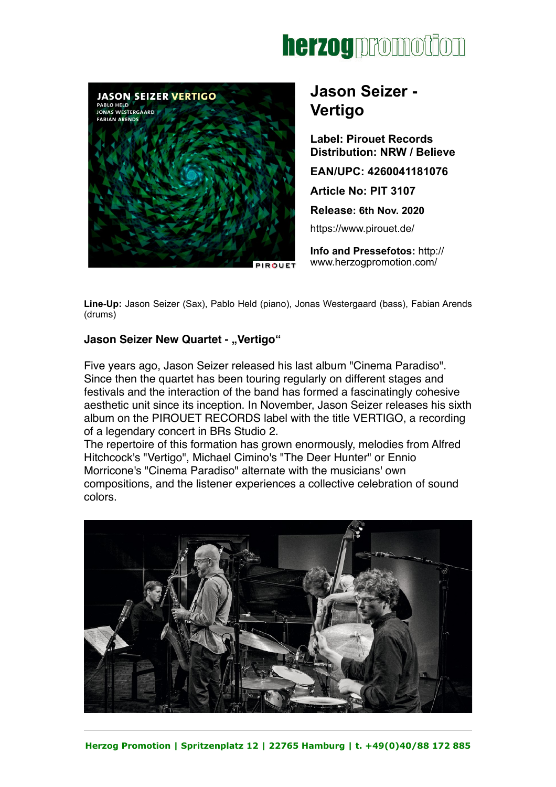



# **Jason Seizer - Vertigo**

**Label: Pirouet Records Distribution: NRW / Believe EAN/UPC: 4260041181076 Article No: PIT 3107 Release: 6th Nov. 2020**  <https://www.pirouet.de/>

**Info and Pressefotos:** [http://](http://www.herzogpromotion.com/de/) [www.herzogpromotion.com/](http://www.herzogpromotion.com/de/)

**Line-Up:** Jason Seizer (Sax), Pablo Held (piano), Jonas Westergaard (bass), Fabian Arends (drums)

### **Jason Seizer New Quartet - "Vertigo"**

Five years ago, Jason Seizer released his last album "Cinema Paradiso". Since then the quartet has been touring regularly on different stages and festivals and the interaction of the band has formed a fascinatingly cohesive aesthetic unit since its inception. In November, Jason Seizer releases his sixth album on the PIROUET RECORDS label with the title VERTIGO, a recording of a legendary concert in BRs Studio 2.

The repertoire of this formation has grown enormously, melodies from Alfred Hitchcock's "Vertigo", Michael Cimino's "The Deer Hunter" or Ennio Morricone's "Cinema Paradiso" alternate with the musicians' own compositions, and the listener experiences a collective celebration of sound colors.